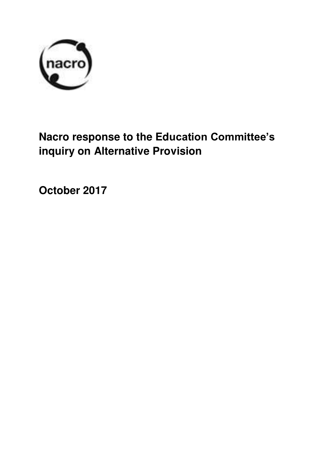

# **Nacro response to the Education Committee's inquiry on Alternative Provision**

**October 2017**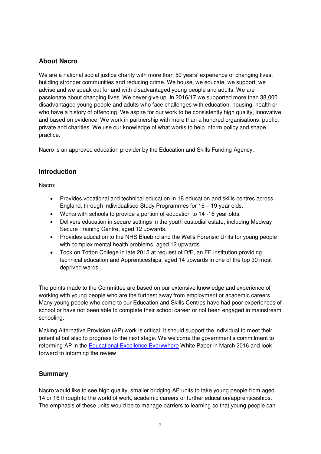## **About Nacro**

We are a national social justice charity with more than 50 years' experience of changing lives, building stronger communities and reducing crime. We house, we educate, we support, we advise and we speak out for and with disadvantaged young people and adults. We are passionate about changing lives. We never give up. In 2016/17 we supported more than 38,000 disadvantaged young people and adults who face challenges with education, housing, health or who have a history of offending. We aspire for our work to be consistently high quality, innovative and based on evidence. We work in partnership with more than a hundred organisations: public, private and charities. We use our knowledge of what works to help inform policy and shape practice.

Nacro is an approved education provider by the Education and Skills Funding Agency.

## **Introduction**

Nacro:

- Provides vocational and technical education in 18 education and skills centres across England, through individualised Study Programmes for 16 – 19 year olds.
- Works with schools to provide a portion of education to 14 -16 year olds.
- Delivers education in secure settings in the youth custodial estate, including Medway Secure Training Centre, aged 12 upwards.
- Provides education to the NHS Bluebird and the Wells Forensic Units for young people with complex mental health problems, aged 12 upwards.
- Took on Totton College in late 2015 at request of DfE, an FE institution providing technical education and Apprenticeships, aged 14 upwards in one of the top 30 most deprived wards.

The points made to the Committee are based on our extensive knowledge and experience of working with young people who are the furthest away from employment or academic careers. Many young people who come to our Education and Skills Centres have had poor experiences of school or have not been able to complete their school career or not been engaged in mainstream schooling.

Making Alternative Provision (AP) work is critical; it should support the individual to meet their potential but also to progress to the next stage. We welcome the government's commitment to reforming AP in the [Educational Excellence Everywhere](https://www.gov.uk/government/uploads/system/uploads/attachment_data/file/508447/Educational_Excellence_Everywhere.pdf) White Paper in March 2016 and look forward to informing the review.

## **Summary**

Nacro would like to see high quality, smaller bridging AP units to take young people from aged 14 or 16 through to the world of work, academic careers or further education/apprenticeships. The emphasis of these units would be to manage barriers to learning so that young people can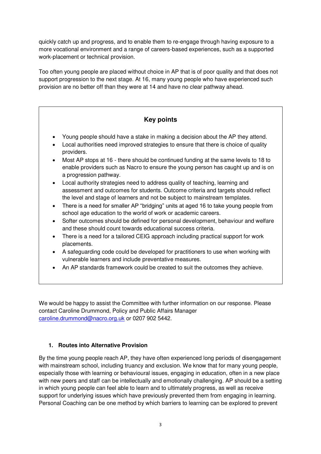quickly catch up and progress, and to enable them to re-engage through having exposure to a more vocational environment and a range of careers-based experiences, such as a supported work-placement or technical provision.

Too often young people are placed without choice in AP that is of poor quality and that does not support progression to the next stage. At 16, many young people who have experienced such provision are no better off than they were at 14 and have no clear pathway ahead.

## **Key points**

- Young people should have a stake in making a decision about the AP they attend.
- Local authorities need improved strategies to ensure that there is choice of quality providers.
- Most AP stops at 16 there should be continued funding at the same levels to 18 to enable providers such as Nacro to ensure the young person has caught up and is on a progression pathway.
- Local authority strategies need to address quality of teaching, learning and assessment and outcomes for students. Outcome criteria and targets should reflect the level and stage of learners and not be subject to mainstream templates.
- There is a need for smaller AP "bridging" units at aged 16 to take young people from school age education to the world of work or academic careers.
- Softer outcomes should be defined for personal development, behaviour and welfare and these should count towards educational success criteria.
- There is a need for a tailored CEIG approach including practical support for work placements.
- A safeguarding code could be developed for practitioners to use when working with vulnerable learners and include preventative measures.
- An AP standards framework could be created to suit the outcomes they achieve.

We would be happy to assist the Committee with further information on our response. Please contact Caroline Drummond, Policy and Public Affairs Manager [caroline.drummond@nacro.org.uk](mailto:caroline.drummond@nacro.org.uk) or 0207 902 5442.

## **1. Routes into Alternative Provision**

By the time young people reach AP, they have often experienced long periods of disengagement with mainstream school, including truancy and exclusion. We know that for many young people, especially those with learning or behavioural issues, engaging in education, often in a new place with new peers and staff can be intellectually and emotionally challenging. AP should be a setting in which young people can feel able to learn and to ultimately progress, as well as receive support for underlying issues which have previously prevented them from engaging in learning. Personal Coaching can be one method by which barriers to learning can be explored to prevent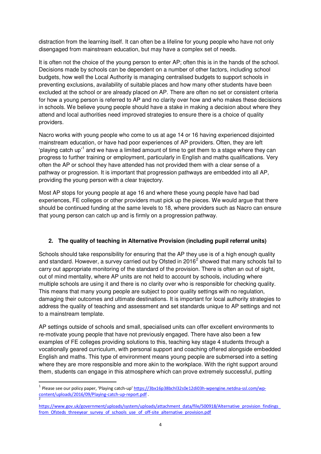distraction from the learning itself. It can often be a lifeline for young people who have not only disengaged from mainstream education, but may have a complex set of needs.

It is often not the choice of the young person to enter AP; often this is in the hands of the school. Decisions made by schools can be dependent on a number of other factors, including school budgets, how well the Local Authority is managing centralised budgets to support schools in preventing exclusions, availability of suitable places and how many other students have been excluded at the school or are already placed on AP. There are often no set or consistent criteria for how a young person is referred to AP and no clarity over how and who makes these decisions in schools. We believe young people should have a stake in making a decision about where they attend and local authorities need improved strategies to ensure there is a choice of quality providers.

Nacro works with young people who come to us at age 14 or 16 having experienced disjointed mainstream education, or have had poor experiences of AP providers. Often, they are left 'playing catch up'<sup>1</sup> and we have a limited amount of time to get them to a stage where they can progress to further training or employment, particularly in English and maths qualifications. Very often the AP or school they have attended has not provided them with a clear sense of a pathway or progression. It is important that progression pathways are embedded into all AP, providing the young person with a clear trajectory.

Most AP stops for young people at age 16 and where these young people have had bad experiences, FE colleges or other providers must pick up the pieces. We would argue that there should be continued funding at the same levels to 18, where providers such as Nacro can ensure that young person can catch up and is firmly on a progression pathway.

## **2. The quality of teaching in Alternative Provision (including pupil referral units)**

Schools should take responsibility for ensuring that the AP they use is of a high enough quality and standard. However, a survey carried out by Ofsted in 2016<sup>2</sup> showed that many schools fail to carry out appropriate monitoring of the standard of the provision. There is often an out of sight, out of mind mentality, where AP units are not held to account by schools, including where multiple schools are using it and there is no clarity over who is responsible for checking quality. This means that many young people are subject to poor quality settings with no regulation, damaging their outcomes and ultimate destinations. It is important for local authority strategies to address the quality of teaching and assessment and set standards unique to AP settings and not to a mainstream template.

AP settings outside of schools and small, specialised units can offer excellent environments to re-motivate young people that have not previously engaged. There have also been a few examples of FE colleges providing solutions to this, teaching key stage 4 students through a vocationally geared curriculum, with personal support and coaching offered alongside embedded English and maths. This type of environment means young people are submersed into a setting where they are more responsible and more akin to the workplace. With the right support around them, students can engage in this atmosphere which can prove extremely successful, putting

-

<sup>&</sup>lt;sup>1</sup> Please see our policy paper, 'Playing catch-up' [https://3bx16p38bchl32s0e12di03h-wpengine.netdna-ssl.com/wp](https://3bx16p38bchl32s0e12di03h-wpengine.netdna-ssl.com/wp-content/uploads/2016/09/Playing-catch-up-report.pdf)[content/uploads/2016/09/Playing-catch-up-report.pdf](https://3bx16p38bchl32s0e12di03h-wpengine.netdna-ssl.com/wp-content/uploads/2016/09/Playing-catch-up-report.pdf) . 2

[https://www.gov.uk/government/uploads/system/uploads/attachment\\_data/file/500918/Alternative\\_provision\\_findings\\_](https://www.gov.uk/government/uploads/system/uploads/attachment_data/file/500918/Alternative_provision_findings_from_Ofsteds_threeyear_survey_of_schools_use_of_off-site_alternative_provision.pdf) from Ofsteds threeyear survey of schools use of off-site alternative provision.pdf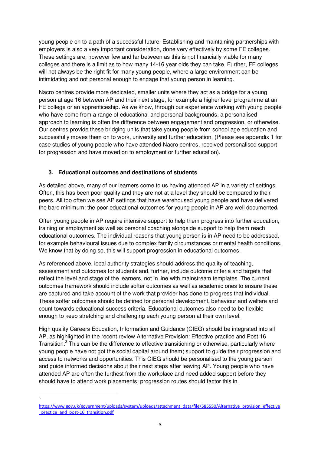young people on to a path of a successful future. Establishing and maintaining partnerships with employers is also a very important consideration, done very effectively by some FE colleges. These settings are, however few and far between as this is not financially viable for many colleges and there is a limit as to how many 14-16 year olds they can take. Further, FE colleges will not always be the right fit for many young people, where a large environment can be intimidating and not personal enough to engage that young person in learning.

Nacro centres provide more dedicated, smaller units where they act as a bridge for a young person at age 16 between AP and their next stage, for example a higher level programme at an FE college or an apprenticeship. As we know, through our experience working with young people who have come from a range of educational and personal backgrounds, a personalised approach to learning is often the difference between engagement and progression, or otherwise. Our centres provide these bridging units that take young people from school age education and successfully moves them on to work, university and further education. (Please see appendix 1 for case studies of young people who have attended Nacro centres, received personalised support for progression and have moved on to employment or further education).

## **3. Educational outcomes and destinations of students**

As detailed above, many of our learners come to us having attended AP in a variety of settings. Often, this has been poor quality and they are not at a level they should be compared to their peers. All too often we see AP settings that have warehoused young people and have delivered the bare minimum; the poor educational outcomes for young people in AP are well documented**.**

Often young people in AP require intensive support to help them progress into further education, training or employment as well as personal coaching alongside support to help them reach educational outcomes. The individual reasons that young person is in AP need to be addressed, for example behavioural issues due to complex family circumstances or mental health conditions. We know that by doing so, this will support progression in educational outcomes.

As referenced above, local authority strategies should address the quality of teaching, assessment and outcomes for students and, further, include outcome criteria and targets that reflect the level and stage of the learners, not in line with mainstream templates. The current outcomes framework should include softer outcomes as well as academic ones to ensure these are captured and take account of the work that provider has done to progress that individual. These softer outcomes should be defined for personal development, behaviour and welfare and count towards educational success criteria. Educational outcomes also need to be flexible enough to keep stretching and challenging each young person at their own level.

High quality Careers Education, Information and Guidance (CIEG) should be integrated into all AP, as highlighted in the recent review Alternative Provision: Effective practice and Post 16 Transition.<sup>3</sup> This can be the difference to effective transitioning or otherwise, particularly where young people have not got the social capital around them; support to guide their progression and access to networks and opportunities. This CIEG should be personalised to the young person and guide informed decisions about their next steps after leaving AP. Young people who have attended AP are often the furthest from the workplace and need added support before they should have to attend work placements; progression routes should factor this in.

 $\frac{1}{3}$ 

[https://www.gov.uk/government/uploads/system/uploads/attachment\\_data/file/585550/Alternative\\_provision\\_effective](https://www.gov.uk/government/uploads/system/uploads/attachment_data/file/585550/Alternative_provision_effective_practice_and_post-16_transition.pdf) practice and post-16 transition.pdf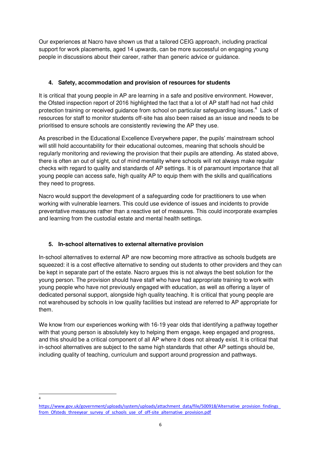Our experiences at Nacro have shown us that a tailored CEIG approach, including practical support for work placements, aged 14 upwards, can be more successful on engaging young people in discussions about their career, rather than generic advice or guidance.

#### **4. Safety, accommodation and provision of resources for students**

It is critical that young people in AP are learning in a safe and positive environment. However, the Ofsted inspection report of 2016 highlighted the fact that a lot of AP staff had not had child protection training or received guidance from school on particular safeguarding issues.<sup>4</sup> Lack of resources for staff to monitor students off-site has also been raised as an issue and needs to be prioritised to ensure schools are consistently reviewing the AP they use.

As prescribed in the Educational Excellence Everywhere paper, the pupils' mainstream school will still hold accountability for their educational outcomes, meaning that schools should be regularly monitoring and reviewing the provision that their pupils are attending. As stated above, there is often an out of sight, out of mind mentality where schools will not always make regular checks with regard to quality and standards of AP settings. It is of paramount importance that all young people can access safe, high quality AP to equip them with the skills and qualifications they need to progress.

Nacro would support the development of a safeguarding code for practitioners to use when working with vulnerable learners. This could use evidence of issues and incidents to provide preventative measures rather than a reactive set of measures. This could incorporate examples and learning from the custodial estate and mental health settings.

## **5. In-school alternatives to external alternative provision**

-<br>4

In-school alternatives to external AP are now becoming more attractive as schools budgets are squeezed: it is a cost effective alternative to sending out students to other providers and they can be kept in separate part of the estate. Nacro argues this is not always the best solution for the young person. The provision should have staff who have had appropriate training to work with young people who have not previously engaged with education, as well as offering a layer of dedicated personal support, alongside high quality teaching. It is critical that young people are not warehoused by schools in low quality facilities but instead are referred to AP appropriate for them.

We know from our experiences working with 16-19 year olds that identifying a pathway together with that young person is absolutely key to helping them engage, keep engaged and progress, and this should be a critical component of all AP where it does not already exist. It is critical that in-school alternatives are subject to the same high standards that other AP settings should be, including quality of teaching, curriculum and support around progression and pathways.

[https://www.gov.uk/government/uploads/system/uploads/attachment\\_data/file/500918/Alternative\\_provision\\_findings\\_](https://www.gov.uk/government/uploads/system/uploads/attachment_data/file/500918/Alternative_provision_findings_from_Ofsteds_threeyear_survey_of_schools_use_of_off-site_alternative_provision.pdf) from Ofsteds threeyear survey of schools use of off-site alternative provision.pdf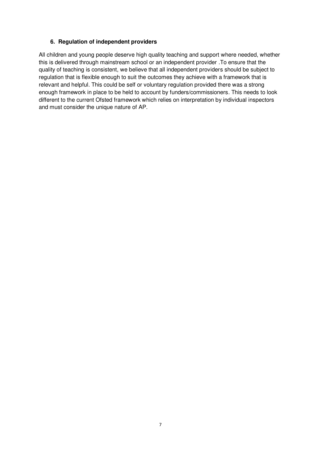#### **6. Regulation of independent providers**

All children and young people deserve high quality teaching and support where needed, whether this is delivered through mainstream school or an independent provider .To ensure that the quality of teaching is consistent, we believe that all independent providers should be subject to regulation that is flexible enough to suit the outcomes they achieve with a framework that is relevant and helpful. This could be self or voluntary regulation provided there was a strong enough framework in place to be held to account by funders/commissioners. This needs to look different to the current Ofsted framework which relies on interpretation by individual inspectors and must consider the unique nature of AP.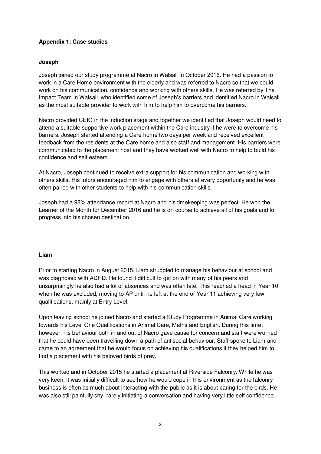#### **Appendix 1: Case studies**

#### **Joseph**

Joseph joined our study programme at Nacro in Walsall in October 2016. He had a passion to work in a Care Home environment with the elderly and was referred to Nacro so that we could work on his communication, confidence and working with others skills. He was referred by The Impact Team in Walsall, who identified some of Joseph's barriers and identified Nacro in Walsall as the most suitable provider to work with him to help him to overcome his barriers.

Nacro provided CEIG in the induction stage and together we identified that Joseph would need to attend a suitable supportive work placement within the Care industry if he were to overcome his barriers. Joseph started attending a Care home two days per week and received excellent feedback from the residents at the Care home and also staff and management. His barriers were communicated to the placement host and they have worked well with Nacro to help to build his confidence and self esteem.

At Nacro, Joseph continued to receive extra support for his communication and working with others skills. His tutors encouraged him to engage with others at every opportunity and he was often paired with other students to help with his communication skills.

Joseph had a 98% attendance record at Nacro and his timekeeping was perfect. He won the Learner of the Month for December 2016 and he is on course to achieve all of his goals and to progress into his chosen destination.

#### **Liam**

Prior to starting Nacro in August 2015, Liam struggled to manage his behaviour at school and was diagnosed with ADHD. He found it difficult to get on with many of his peers and unsurprisingly he also had a lot of absences and was often late. This reached a head in Year 10 when he was excluded, moving to AP until he left at the end of Year 11 achieving very few qualifications, mainly at Entry Level.

Upon leaving school he joined Nacro and started a Study Programme in Animal Care working towards his Level One Qualifications in Animal Care, Maths and English. During this time, however, his behaviour both in and out of Nacro gave cause for concern and staff were worried that he could have been travelling down a path of antisocial behaviour. Staff spoke to Liam and came to an agreement that he would focus on achieving his qualifications if they helped him to find a placement with his beloved birds of prey.

This worked and in October 2015 he started a placement at Riverside Falconry. While he was very keen, it was initially difficult to see how he would cope in this environment as the falconry business is often as much about interacting with the public as it is about caring for the birds. He was also still painfully shy, rarely initiating a conversation and having very little self confidence.